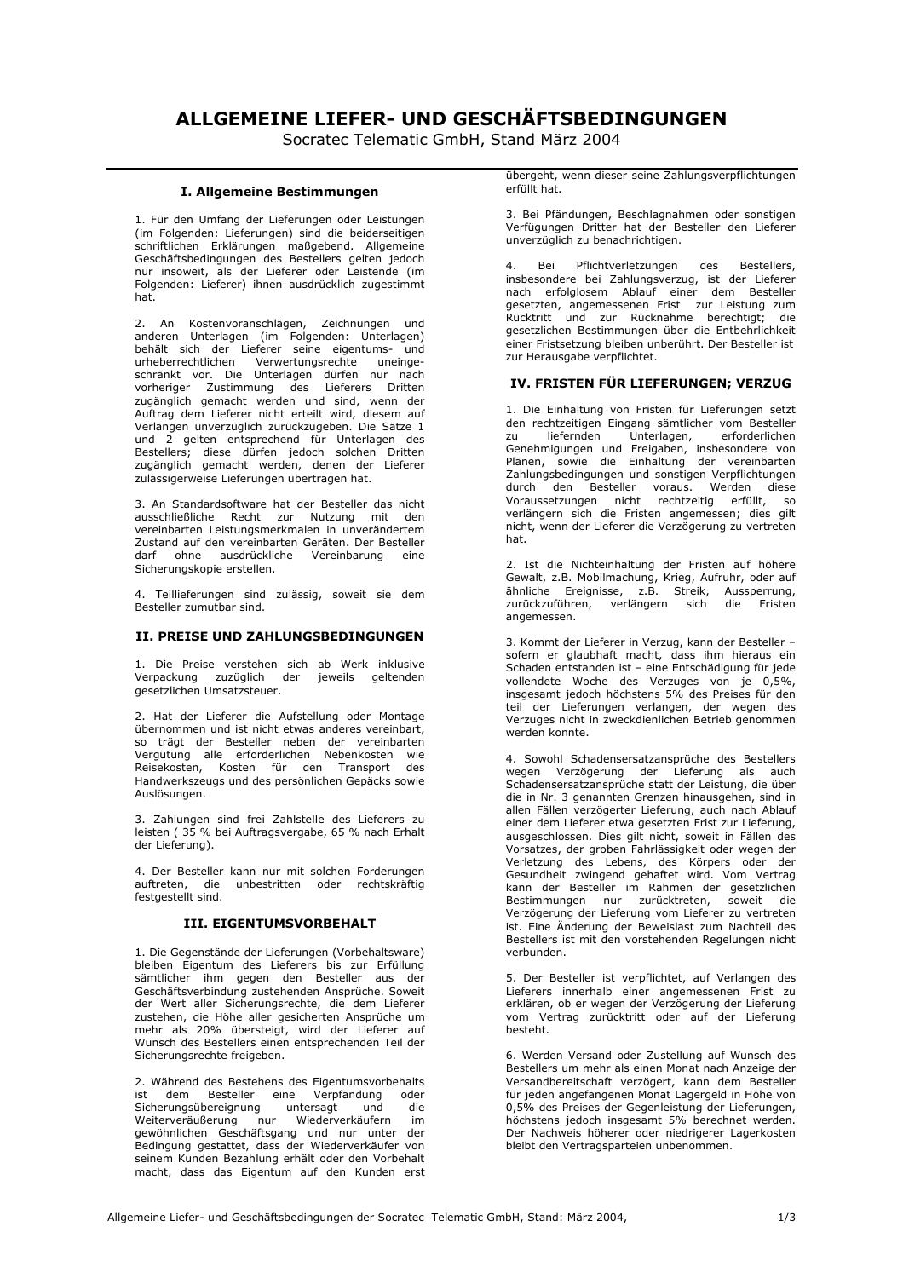# ALLGEMEINE LIEFER- UND GESCHÄFTSBEDINGUNGEN

Socratec Telematic GmbH, Stand März 2004

## I. Allgemeine Bestimmungen

1. Für den Umfang der Lieferungen oder Leistungen (im Folgenden: Lieferungen) sind die beiderseitigen schriftlichen Erklärungen maßgebend. Allgemeine Geschäftsbedingungen des Bestellers gelten jedoch<br>nur insoweit, als der Lieferer oder Leistende (im Folgenden: Lieferer) ihnen ausdrücklich zugestimmt hat.

2. An Kostenvoranschlägen, Zeichnungen und anderen Unterlagen (im Folgenden: Unterlagen)<br>behält sich der Lieferer seine eigentums- und urheberrechtlichen Verwertungsrechte uneingeschränkt vor. Die Unterlagen dürfen nur nach vorheriger Zustimmung des Lieferers Dritten zugänglich gemacht werden und sind, wenn der Auftrag dem Lieferer nicht erteilt wird, diesem auf Verlangen unverzüglich zurückzugeben. Die Sätze 1 verlangen anverzugsmen zurücklichen einer und 2 gelten entsprechend für Unterlagen des<br>Bestellers; diese dürfen jedoch solchen Dritten<br>zugänglich gemacht werden, denen der Lieferer zulässigerweise Lieferungen übertragen hat.

3. An Standardsoftware hat der Besteller das nicht ausschließliche Recht zur Nutzung mit den vereinbarten Leistungsmerkmalen in unverändertem Zustand auf den vereinbarten Geräten. Der Besteller darf ohne ausdrückliche Vereinbarung eine Sicherungskopie erstellen.

4. Teillieferungen sind zulässig, soweit sie dem Besteller zumutbar sind.

## II. PREISE UND ZAHLUNGSBEDINGUNGEN

1. Die Preise verstehen sich ab Werk inklusive Verpackung zuzüglich der jeweils geltenden gesetzlichen Umsatzsteuer.

2. Hat der Lieferer die Aufstellung oder Montage übernommen und ist nicht etwas anderes vereinbart, so trägt der Besteller neben der vereinbarten Vergütung alle erforderlichen Nebenkosten wie Reisekosten, Kosten für den Transport des Handwerkszeugs und des persönlichen Gepäcks sowie Auslösungen

3. Zahlungen sind frei Zahlstelle des Lieferers zu leisten (35 % bei Auftragsvergabe, 65 % nach Erhalt der Lieferung).

4. Der Besteller kann nur mit solchen Forderungen auftreten, die unbestritten oder rechtskräftig festgestellt sind.

## **III. EIGENTUMSVORBEHALT**

1. Die Gegenstände der Lieferungen (Vorbehaltsware) bleiben Eigentum des Lieferers bis zur Erfüllung<br>sämtlicher ihm gegen den Besteller aus der Geschäftsverbindung zustehenden Ansprüche. Soweit der Wert aller Sicherungsrechte, die dem Lieferer zustehen, die Höhe aller gesicherten Ansprüche um mehr als 20% übersteigt, wird der Lieferer auf Wunsch des Bestellers einen entsprechenden Teil der Sicherungsrechte freigeben.

2. Während des Bestehens des Eigentumsvorbehalts ist dem Besteller eine Verpfändung oder Sicherungsübereignung untersagt und die Weiterveräußerung nur Wiederverkäufern im gewöhnlichen Geschäftsgang und nur unter der Bedingung gestattet, dass der Wiederverkäufer von seinem Kunden Bezahlung erhält oder den Vorbehalt macht, dass das Eigentum auf den Kunden erst übergeht, wenn dieser seine Zahlungsverpflichtungen erfüllt hat.

3. Bei Pfändungen, Beschlagnahmen oder sonstigen<br>Verfügungen Dritter hat der Besteller den Lieferer unverzüglich zu benachrichtigen.

 $\mathbf{A}$ **Rei** Pflichtverletzungen des **Restellers** insbesondere bei Zahlungsverzug, ist der Lieferer<br>nach erfolglosem Ablauf einer dem Besteller gesetzten, angemessenen Frist zur Leistung zum Rücktritt und zur Rücknahme berechtigt; die gesetzlichen Bestimmungen über die Entbehrlichkeit einer Fristsetzung bleiben unberührt. Der Besteller ist zur Herausgabe verpflichtet.

#### IV. FRISTEN FÜR LIEFERUNGEN; VERZUG

1. Die Einhaltung von Fristen für Lieferungen setzt<br>den rechtzeitigen Eingang sämtlicher vom Besteller Juny<br>Unterlagen, liefernden erforderlichen zu Genehmigungen und Freigaben, insbesondere von Plänen, sowie die Einhaltung der vereinbarten Zahlungsbedingungen und sonstigen Verpflichtungen durch den Besteller voraus. Werden diese<br>Voraussetzungen nicht rechtzeitig erfüllt, so<br>verlängern sich die Fristen angemessen; dies gilt nicht, wenn der Lieferer die Verzögerung zu vertreten hat.

2. Ist die Nichteinhaltung der Fristen auf höhere Gewalt, z.B. Mobilmachung, Krieg, Aufruhr, oder auf ähnliche Ereignisse, z.B. Streik, Aussperrung,<br>zurückzuführen, verlängern sich die Fristen angemessen.

3. Kommt der Lieferer in Verzug, kann der Besteller sofern er glaubhaft macht, dass ihm hieraus ein Schaden entstanden ist - eine Entschädigung für jede vollendete Woche des Verzuges von je 0,5%, insgesamt jedoch höchstens 5% des Preises für den teil der Lieferungen verlangen, der wegen des Verzuges nicht in zweckdienlichen Betrieb genommen werden konnte.

4. Sowohl Schadensersatzansprüche des Bestellers wegen Verzögerung der Lieferung als auch Schadensersatzansprüche statt der Leistung, die über die in Nr. 3 genannten Grenzen hinausgehen, sind in allen Fällen verzögerter Lieferung, auch nach Ablauf einer dem Lieferer etwa gesetzten Frist zur Lieferung, ausgeschlossen. Dies gilt nicht, soweit in Fällen des Vorsatzes, der groben Fahrlässigkeit oder wegen der Verletzung des Lebens, des Körpers oder der<br>Gesundheit zwingend gehaftet wird. Vom Vertrag kann der Besteller im Rahmen der gesetzlichen Bestimmungen nur zurücktreten, soweit die<br>Verzögerung der Lieferung vom Lieferer zu vertreten ist. Eine Änderung der Beweislast zum Nachteil des Bestellers ist mit den vorstehenden Regelungen nicht verbunden.

5. Der Besteller ist verpflichtet, auf Verlangen des Lieferers innerhalb einer angemessenen Frist zu erklären, ob er wegen der Verzögerung der Lieferung vom Vertrag zurücktritt oder auf der Lieferung hesteht

6. Werden Versand oder Zustellung auf Wunsch des Bestellers um mehr als einen Monat nach Anzeige der Versandbereitschaft verzögert, kann dem Besteller für jeden angefangenen Monat Lagergeld in Höhe von 0,5% des Preises der Gegenleistung der Lieferungen, höchstens jedoch insgesamt 5% berechnet werden. Der Nachweis höherer oder niedrigerer Lagerkosten bleibt den Vertragsparteien unbenommen.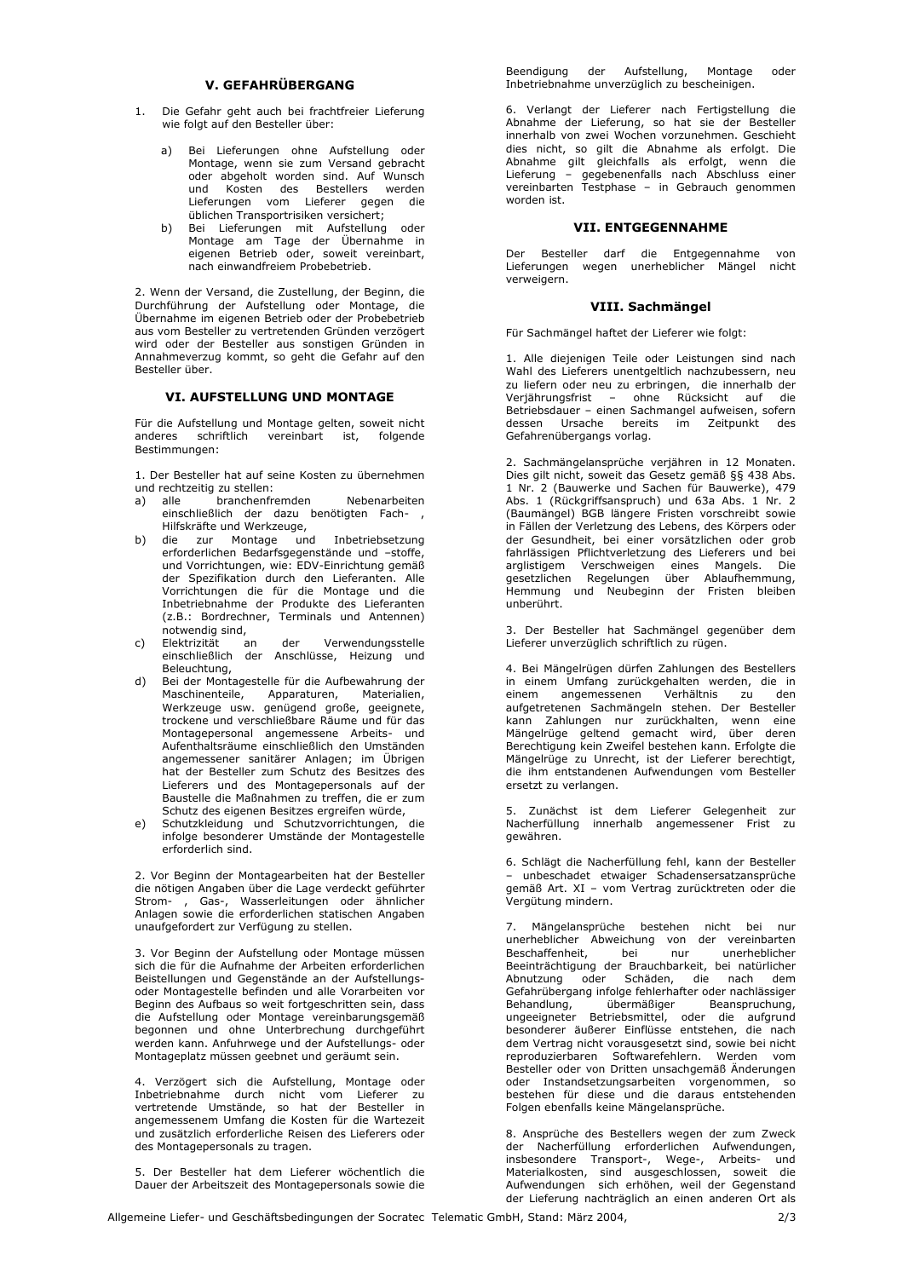#### V. GEFAHRÜBERGANG

- 1. Die Gefahr geht auch bei frachtfreier Lieferung wie folgt auf den Besteller über:
	- Bei Lieferungen ohne Aufstellung oder<br>Montage, wenn sie zum Versand gebracht<br>oder abgeholt worden sind. Auf Wunsch a) und Kosten des Bestellers werden<br>Lieferrungen vom Lieferer gegen die<br>üblichen Transportrisiken versichert;
	- Bei Lieferungen mit Aufstellung oder b) Montage am Tage der Übernahme in eigenen Betrieb oder, soweit vereinbart, nach einwandfreiem Probebetrieb.

2. Wenn der Versand, die Zustellung, der Beginn, die Durchführung der Aufstellung oder Montage, die Übernahme im eigenen Betrieb oder der Probebetrieb aus vom Besteller zu vertretenden Gründen verzögert wird oder der Besteller aus sonstigen Gründen in Annahmeverzug kommt, so geht die Gefahr auf den Besteller über.

#### **VI. AUFSTELLUNG UND MONTAGE**

Für die Aufstellung und Montage gelten, soweit nicht anderes schriftlich vereinbart ist, folgende Bestimmungen:

1. Der Besteller hat auf seine Kosten zu übernehmen und rechtzeitig zu stellen:

- a) alle branchenfremden Nebenarbeiten einschließlich der dazu benötigten Fach- , Hilfskräfte und Werkzeuge,
- b) die zur Montage und Inbetriebsetzung erforderlichen Bedarfsgegenstände und -stoffe, und Vorrichtungen, wie: EDV-Einrichtung gemäß der Spezifikation durch den Lieferanten. Alle Vorrichtungen die für die Montage und die Inbetriebnahme der Produkte des Lieferanten (z.B.: Bordrechner, Terminals und Antennen) notwendig sind,
- c) Elektrizität an der Verwendungsstelle<br>einschließlich der Anschlüsse, Heizung und Beleuchtung,
- $d)$ Bei der Montagestelle für die Aufbewahrung der Maschinenteile, Apparaturen, Materialien,<br>Werkzeuge usw. genügend große, geeignete, trockene und verschließbare Räume und für das Montagepersonal angemessene Arbeits- und Aufenthaltsräume einschließlich den Umständen angemessener sanitärer Anlagen; im Übrigen<br>hat der Besteller zum Schutz des Besitzes des Lieferers und des Montagepersonals auf der Baustelle die Maßnahmen zu treffen, die er zum
- Schutz des eigenen Besitzes ergreifen würde,<br>Schutzkleidung und Schutzvorrichtungen, die  $\rho$ infolge besonderer Umstände der Montagestelle erforderlich sind

2. Vor Beginn der Montagearbeiten hat der Besteller die nötigen Angaben über die Lage verdeckt geführter Strom- , Gas-, Wasserleitungen oder ähnlicher Anlagen sowie die erforderlichen statischen Angaben unaufgefordert zur Verfügung zu stellen.

3. Vor Beginn der Aufstellung oder Montage müssen sich die für die Aufnahme der Arbeiten erforderlichen Beistellungen und Gegenstände an der Aufstellungsoder Montagestelle befinden und alle Vorarbeiten vor Beginn des Aufbaus so weit fortgeschritten sein, dass die Aufstellung oder Montage vereinbarungsgemäß begonnen und ohne Unterbrechung durchgeführt werden kann. Anfuhrwege und der Aufstellungs- oder Montageplatz müssen geebnet und geräumt sein.

4. Verzögert sich die Aufstellung, Montage oder Inbetriebnahme durch nicht vom Lieferer zu<br>vertretende Umstände, so hat der Besteller in angemessenem Umfang die Kosten für die Wartezeit und zusätzlich erforderliche Reisen des Lieferers oder des Montagepersonals zu tragen.

5. Der Besteller hat dem Lieferer wöchentlich die Dauer der Arbeitszeit des Montagepersonals sowie die Beendigung der Aufstellung, Montage oder Inbetriebnahme unverzüglich zu bescheinigen.

6. Verlangt der Lieferer nach Fertigstellung die Abnahme der Lieferung, so hat sie der Besteller innerhalb von zwei Wochen vorzunehmen. Geschieht dies nicht, so gilt die Abnahme als erfolgt. Die Abnahme gilt gleichfalls als erfolgt, wenn die Lieferung - gegebenenfalls nach Abschluss einer vereinbarten Testphase - in Gebrauch genommen worden ist.

#### **VII. ENTGEGENNAHME**

Der Besteller darf die Entgegennahme von Lieferungen wegen unerheblicher Mängel nicht verweigern.

## VIII. Sachmängel

Für Sachmängel haftet der Lieferer wie folgt:

1. Alle diejenigen Teile oder Leistungen sind nach Wahl des Lieferers unentgeltlich nachzubessern, neu zu liefern oder neu zu erbringen, die innerhalb der Verjährungsfrist – ohne Rücksicht auf die Betriebsdauer – einen Sachmangel aufweisen, sofern dessen Ursache bereits im Zeitpunkt des Gefahrenübergangs vorlag.

2. Sachmängelansprüche verjähren in 12 Monaten. Dies gilt nicht, soweit das Gesetz gemäß §§ 438 Abs. 1 Nr. 2 (Bauwerke und Sachen für Bauwerke), 479 Abs. 1 (Rückgriffsanspruch) und 63a Abs. 1 Nr. 2 (Baumängel) BGB längere Fristen vorschreibt sowie in Fällen der Verletzung des Lebens, des Körpers oder der Gesundheit, bei einer vorsätzlichen oder grob fahrlässigen Pflichtverletzung des Lieferers und bei arglistigem Verschweigen eines Mangels. Die<br>gesetzlichen Regelungen über Ablaufhemmung,<br>Hemmung und Neubeginn der Fristen bleiben unberührt.

3. Der Besteller hat Sachmängel gegenüber dem Lieferer unverzüglich schriftlich zu rügen.

4. Bei Mängelrügen dürfen Zahlungen des Bestellers in einem Umfang zurückgehalten werden, die in einem angemessenen Verhältnis zu den aufgetretenen Sachmängeln stehen. Der Besteller kann Zahlungen nur zurückhalten, wenn eine<br>Mängelrüge geltend gemacht wird, über deren<br>Berechtigung kein Zweifel bestehen kann. Erfolgte die Mängelrüge zu Unrecht, ist der Lieferer berechtigt, die ihm entstandenen Aufwendungen vom Besteller ersetzt zu verlangen.

5. Zunächst ist dem Lieferer Gelegenheit zur<br>Nacherfüllung innerhalb angemessener Frist zu gewähren.

6. Schlägt die Nacherfüllung fehl, kann der Besteller - unbeschadet etwaiger Schadensersatzansprüche gemäß Art. XI - vom Vertrag zurücktreten oder die Vergütung mindern.

7. Mängelansprüche bestehen nicht bei nur unerheblicher Abweichung von der vereinbarten Beschaffenheit, bei nur unerheblicher Beschahlennen, der nur unerhebildreit<br>Beeinträchtigung der Brauchbarkeit, bei natürlicher<br>Abnutzung oder Schäden, die nach dem Gefahrübergang infolge fehlerhafter oder nachlässiger Behandlung, übermäßiger Beanspruchung,<br>ungeeigneter Betriebsmittel, oder die aufgrund besonderer äußerer Einflüsse entstehen, die nach dem Vertrag nicht vorausgesetzt sind, sowie bei nicht reproduzierbaren Softwarefehlern. Werden vom Besteller oder von Dritten unsachgemäß Änderungen oder Instandsetzungsarbeiten vorgenommen, so bestehen für diese und die daraus entstehenden Folgen ebenfalls keine Mängelansprüche.

8. Ansprüche des Bestellers wegen der zum Zweck der Nacherfüllung erforderlichen Aufwendungen, der Nacherlandung erforder Transport-, Wege-, Arbeits- und<br>Materialkosten, sind ausgeschlossen, soweit die<br>Aufwendungen sich erhöhen, weil der Gegenstand<br>der Lieferung nachträglich an einen anderen Ort als